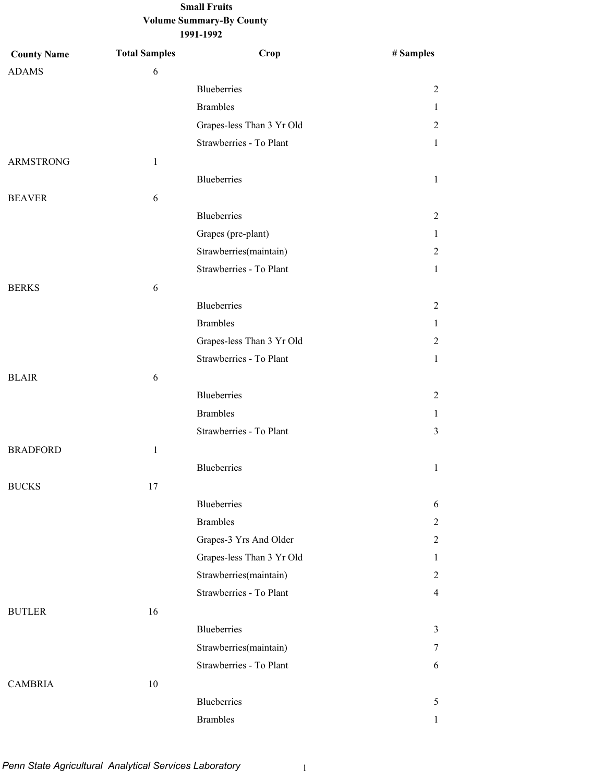| <b>County Name</b> | <b>Total Samples</b> | Crop                      | # Samples      |
|--------------------|----------------------|---------------------------|----------------|
| <b>ADAMS</b>       | 6                    |                           |                |
|                    |                      | Blueberries               | 2              |
|                    |                      | <b>Brambles</b>           | 1              |
|                    |                      | Grapes-less Than 3 Yr Old | 2              |
|                    |                      | Strawberries - To Plant   | $\mathbf{1}$   |
| <b>ARMSTRONG</b>   | $\mathbf{1}$         |                           |                |
|                    |                      | <b>Blueberries</b>        | $\mathbf{1}$   |
| <b>BEAVER</b>      | 6                    |                           |                |
|                    |                      | Blueberries               | $\overline{2}$ |
|                    |                      | Grapes (pre-plant)        | $\mathbf{1}$   |
|                    |                      | Strawberries(maintain)    | 2              |
|                    |                      | Strawberries - To Plant   | $\mathbf{1}$   |
| <b>BERKS</b>       | 6                    |                           |                |
|                    |                      | <b>Blueberries</b>        | $\overline{2}$ |
|                    |                      | <b>Brambles</b>           | 1              |
|                    |                      | Grapes-less Than 3 Yr Old | 2              |
|                    |                      | Strawberries - To Plant   | 1              |
| <b>BLAIR</b>       | $\sqrt{6}$           |                           |                |
|                    |                      | Blueberries               | 2              |
|                    |                      | <b>Brambles</b>           | 1              |
|                    |                      | Strawberries - To Plant   | 3              |
| <b>BRADFORD</b>    | $\mathbf{1}$         |                           |                |
|                    |                      | Blueberries               | $\mathbf{1}$   |
| <b>BUCKS</b>       | 17                   |                           |                |
|                    |                      | <b>Blueberries</b>        | 6              |
|                    |                      | <b>Brambles</b>           | 2              |
|                    |                      | Grapes-3 Yrs And Older    | $\overline{2}$ |
|                    |                      | Grapes-less Than 3 Yr Old | $\mathbf{1}$   |
|                    |                      | Strawberries(maintain)    | 2              |
|                    |                      | Strawberries - To Plant   | 4              |
| <b>BUTLER</b>      | 16                   |                           |                |
|                    |                      | <b>Blueberries</b>        | 3              |
|                    |                      | Strawberries(maintain)    | 7              |
|                    |                      | Strawberries - To Plant   | 6              |
| <b>CAMBRIA</b>     | $10\,$               |                           |                |
|                    |                      | Blueberries               | 5              |
|                    |                      | <b>Brambles</b>           | 1              |
|                    |                      |                           |                |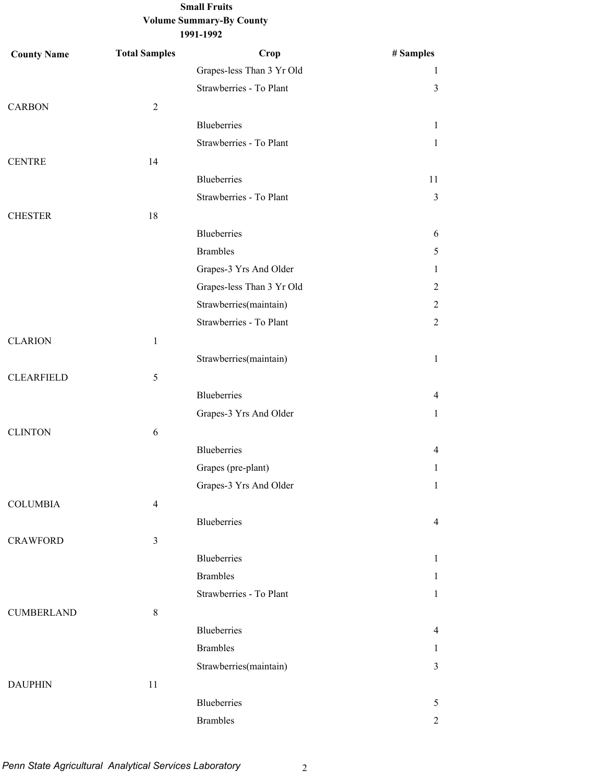| <b>County Name</b> | <b>Total Samples</b> | Crop                      | # Samples      |
|--------------------|----------------------|---------------------------|----------------|
|                    |                      | Grapes-less Than 3 Yr Old | 1              |
|                    |                      | Strawberries - To Plant   | $\mathfrak{Z}$ |
| <b>CARBON</b>      | $\sqrt{2}$           |                           |                |
|                    |                      | <b>Blueberries</b>        | $\mathbf{1}$   |
|                    |                      | Strawberries - To Plant   | $\mathbf{1}$   |
| <b>CENTRE</b>      | 14                   |                           |                |
|                    |                      | <b>Blueberries</b>        | 11             |
|                    |                      | Strawberries - To Plant   | $\mathfrak{Z}$ |
| <b>CHESTER</b>     | 18                   |                           |                |
|                    |                      | <b>Blueberries</b>        | 6              |
|                    |                      | <b>Brambles</b>           | 5              |
|                    |                      | Grapes-3 Yrs And Older    | $\mathbf{1}$   |
|                    |                      | Grapes-less Than 3 Yr Old | $\overline{2}$ |
|                    |                      | Strawberries(maintain)    | $\overline{2}$ |
|                    |                      | Strawberries - To Plant   | $\overline{2}$ |
| <b>CLARION</b>     | $\mathbf{1}$         |                           |                |
|                    |                      | Strawberries(maintain)    | $\mathbf{1}$   |
| <b>CLEARFIELD</b>  | $\sqrt{5}$           |                           |                |
|                    |                      | <b>Blueberries</b>        | $\overline{4}$ |
|                    |                      | Grapes-3 Yrs And Older    | $\mathbf{1}$   |
| <b>CLINTON</b>     | 6                    |                           |                |
|                    |                      | <b>Blueberries</b>        | $\overline{4}$ |
|                    |                      | Grapes (pre-plant)        | $\mathbf{1}$   |
|                    |                      | Grapes-3 Yrs And Older    | $\mathbf{1}$   |
| <b>COLUMBIA</b>    | $\overline{4}$       |                           |                |
|                    |                      | Blueberries               | $\overline{4}$ |
| <b>CRAWFORD</b>    | $\mathfrak{Z}$       |                           |                |
|                    |                      | Blueberries               | $\mathbf{1}$   |
|                    |                      | <b>Brambles</b>           | $\mathbf{1}$   |
|                    |                      | Strawberries - To Plant   | $\mathbf{1}$   |
| <b>CUMBERLAND</b>  | 8                    |                           |                |
|                    |                      | <b>Blueberries</b>        | $\overline{4}$ |
|                    |                      | <b>Brambles</b>           | 1              |
|                    |                      | Strawberries(maintain)    | $\overline{3}$ |
| <b>DAUPHIN</b>     | 11                   |                           |                |
|                    |                      | <b>Blueberries</b>        | 5              |
|                    |                      | <b>Brambles</b>           | $\overline{2}$ |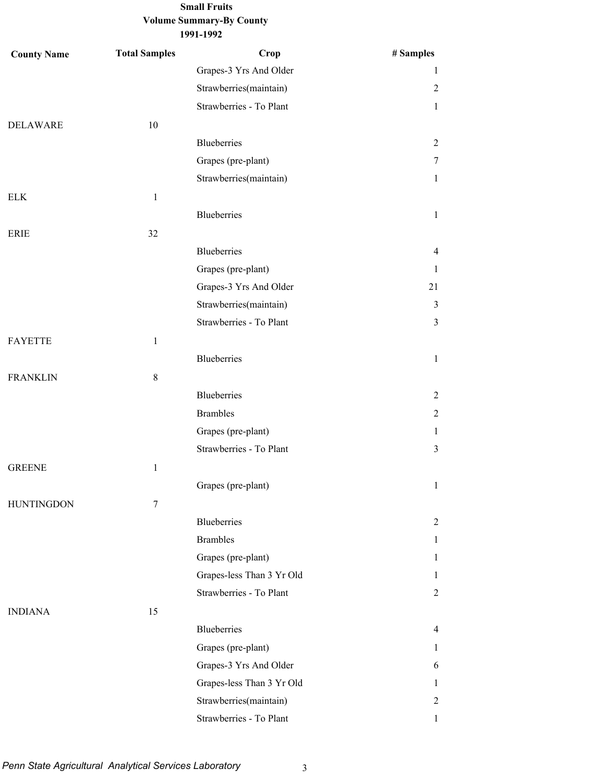# **Volume Summary-By County Small Fruits**

**1991-1992**

| <b>County Name</b> | <b>Total Samples</b> | Crop                      | # Samples      |
|--------------------|----------------------|---------------------------|----------------|
|                    |                      | Grapes-3 Yrs And Older    | 1              |
|                    |                      | Strawberries(maintain)    | $\overline{2}$ |
|                    |                      | Strawberries - To Plant   | $\mathbf{1}$   |
| <b>DELAWARE</b>    | 10                   |                           |                |
|                    |                      | Blueberries               | $\overline{2}$ |
|                    |                      | Grapes (pre-plant)        | 7              |
|                    |                      | Strawberries(maintain)    | $\mathbf{1}$   |
| <b>ELK</b>         | $\mathbf{1}$         |                           |                |
|                    |                      | Blueberries               | $\mathbf{1}$   |
| ERIE               | 32                   |                           |                |
|                    |                      | <b>Blueberries</b>        | $\overline{4}$ |
|                    |                      | Grapes (pre-plant)        | $\mathbf{1}$   |
|                    |                      | Grapes-3 Yrs And Older    | 21             |
|                    |                      | Strawberries(maintain)    | $\mathfrak{Z}$ |
|                    |                      | Strawberries - To Plant   | $\overline{3}$ |
| <b>FAYETTE</b>     | $\mathbf{1}$         |                           |                |
|                    |                      | <b>Blueberries</b>        | $\mathbf{1}$   |
| <b>FRANKLIN</b>    | $\,8\,$              |                           |                |
|                    |                      | <b>Blueberries</b>        | $\overline{2}$ |
|                    |                      | <b>Brambles</b>           | $\overline{2}$ |
|                    |                      | Grapes (pre-plant)        | $\mathbf{1}$   |
|                    |                      | Strawberries - To Plant   | 3              |
| <b>GREENE</b>      | $\mathbf{1}$         |                           |                |
|                    |                      | Grapes (pre-plant)        | $\mathbf{1}$   |
| <b>HUNTINGDON</b>  | $\tau$               |                           |                |
|                    |                      | Blueberries               | $\overline{2}$ |
|                    |                      | <b>Brambles</b>           | $\mathbf{1}$   |
|                    |                      | Grapes (pre-plant)        | $\mathbf{1}$   |
|                    |                      | Grapes-less Than 3 Yr Old | $\mathbf{1}$   |
|                    |                      | Strawberries - To Plant   | $\overline{2}$ |
| <b>INDIANA</b>     | 15                   |                           |                |
|                    |                      | Blueberries               | 4              |
|                    |                      | Grapes (pre-plant)        | $\mathbf{1}$   |
|                    |                      | Grapes-3 Yrs And Older    | 6              |
|                    |                      | Grapes-less Than 3 Yr Old | 1              |
|                    |                      | Strawberries(maintain)    | $\overline{2}$ |
|                    |                      | Strawberries - To Plant   | $\mathbf{1}$   |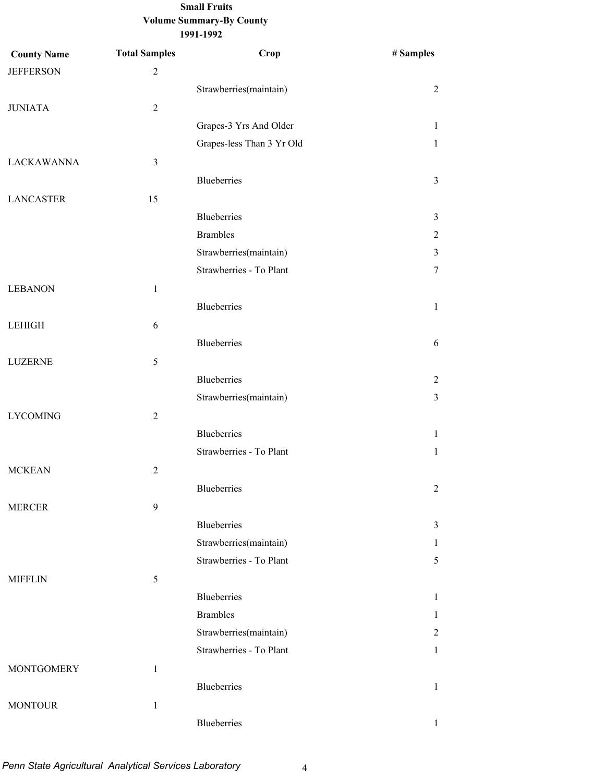| <b>County Name</b> | <b>Total Samples</b> | Crop                      | # Samples      |
|--------------------|----------------------|---------------------------|----------------|
| <b>JEFFERSON</b>   | $\sqrt{2}$           |                           |                |
|                    |                      | Strawberries(maintain)    | $\overline{2}$ |
| <b>JUNIATA</b>     | $\overline{2}$       |                           |                |
|                    |                      | Grapes-3 Yrs And Older    | $\mathbf{1}$   |
|                    |                      | Grapes-less Than 3 Yr Old | $\mathbf{1}$   |
| <b>LACKAWANNA</b>  | $\mathfrak{Z}$       |                           |                |
|                    |                      | Blueberries               | $\mathfrak{Z}$ |
| <b>LANCASTER</b>   | 15                   |                           |                |
|                    |                      | Blueberries               | 3              |
|                    |                      | <b>Brambles</b>           | $\overline{2}$ |
|                    |                      | Strawberries(maintain)    | 3              |
|                    |                      | Strawberries - To Plant   | $\tau$         |
| <b>LEBANON</b>     | $\mathbf{1}$         |                           |                |
|                    |                      | <b>Blueberries</b>        | $\mathbf{1}$   |
| <b>LEHIGH</b>      | 6                    |                           |                |
|                    |                      | Blueberries               | 6              |
| <b>LUZERNE</b>     | 5                    |                           |                |
|                    |                      | Blueberries               | $\overline{2}$ |
|                    |                      | Strawberries(maintain)    | 3              |
| <b>LYCOMING</b>    | $\overline{2}$       |                           |                |
|                    |                      | <b>Blueberries</b>        | $\mathbf{1}$   |
|                    |                      | Strawberries - To Plant   | $\mathbf{1}$   |
| <b>MCKEAN</b>      | $\sqrt{2}$           |                           |                |
|                    |                      | Blueberries               | $\sqrt{2}$     |
| <b>MERCER</b>      | 9                    |                           |                |
|                    |                      | Blueberries               | $\mathfrak{Z}$ |
|                    |                      | Strawberries(maintain)    | $\mathbf{1}$   |
|                    |                      | Strawberries - To Plant   | 5              |
| <b>MIFFLIN</b>     | $\sqrt{5}$           |                           |                |
|                    |                      | Blueberries               | $\mathbf{1}$   |
|                    |                      | <b>Brambles</b>           | $\mathbf{1}$   |
|                    |                      | Strawberries(maintain)    | 2              |
|                    |                      | Strawberries - To Plant   | $\mathbf{1}$   |
| <b>MONTGOMERY</b>  | $\mathbf{1}$         |                           |                |
|                    |                      | <b>Blueberries</b>        | $\mathbf{1}$   |
| <b>MONTOUR</b>     | $\mathbf{1}$         |                           |                |
|                    |                      | <b>Blueberries</b>        | $\mathbf{1}$   |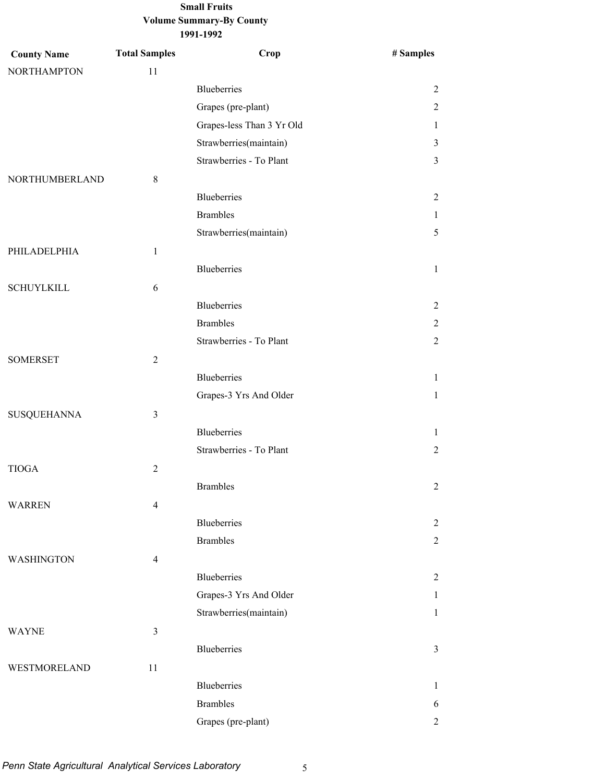| <b>County Name</b> | <b>Total Samples</b> | Crop                      | # Samples      |
|--------------------|----------------------|---------------------------|----------------|
| <b>NORTHAMPTON</b> | 11                   |                           |                |
|                    |                      | Blueberries               | 2              |
|                    |                      | Grapes (pre-plant)        | 2              |
|                    |                      | Grapes-less Than 3 Yr Old | 1              |
|                    |                      | Strawberries(maintain)    | 3              |
|                    |                      | Strawberries - To Plant   | 3              |
| NORTHUMBERLAND     | $\,8\,$              |                           |                |
|                    |                      | Blueberries               | 2              |
|                    |                      | <b>Brambles</b>           | 1              |
|                    |                      | Strawberries(maintain)    | 5              |
| PHILADELPHIA       | $\mathbf{1}$         |                           |                |
|                    |                      | Blueberries               | $\mathbf{1}$   |
| <b>SCHUYLKILL</b>  | 6                    |                           |                |
|                    |                      | <b>Blueberries</b>        | 2              |
|                    |                      | <b>Brambles</b>           | 2              |
|                    |                      | Strawberries - To Plant   | $\overline{2}$ |
| <b>SOMERSET</b>    | $\overline{2}$       |                           |                |
|                    |                      | <b>Blueberries</b>        | $\mathbf{1}$   |
|                    |                      | Grapes-3 Yrs And Older    | 1              |
| <b>SUSQUEHANNA</b> | $\mathfrak{Z}$       |                           |                |
|                    |                      | Blueberries               | 1              |
|                    |                      | Strawberries - To Plant   | $\overline{2}$ |
| <b>TIOGA</b>       | $\overline{2}$       |                           |                |
|                    |                      | <b>Brambles</b>           | $\overline{c}$ |
| <b>WARREN</b>      | $\overline{4}$       |                           |                |
|                    |                      | Blueberries               | 2              |
|                    |                      | <b>Brambles</b>           |                |
|                    |                      |                           | 2              |
| WASHINGTON         | $\overline{4}$       |                           |                |
|                    |                      | Blueberries               | 2              |
|                    |                      | Grapes-3 Yrs And Older    | $\mathbf{1}$   |
|                    |                      | Strawberries(maintain)    | $\mathbf{1}$   |
| <b>WAYNE</b>       | $\mathfrak{Z}$       |                           |                |
|                    |                      | Blueberries               | 3              |
| WESTMORELAND       | 11                   |                           |                |
|                    |                      | <b>Blueberries</b>        | 1              |
|                    |                      | <b>Brambles</b>           | 6              |
|                    |                      | Grapes (pre-plant)        | 2              |